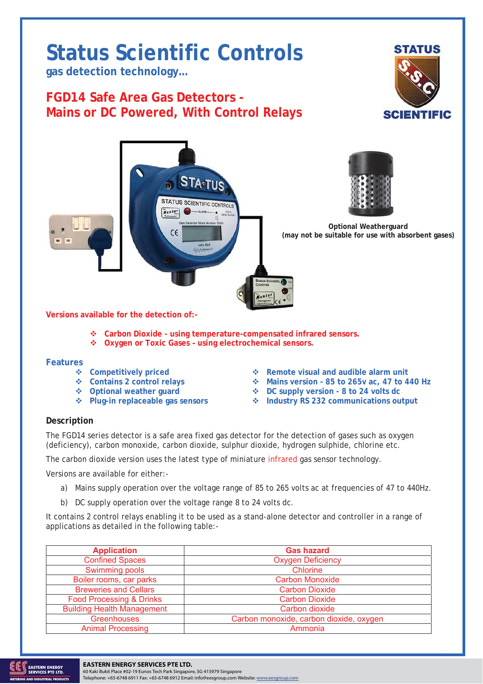## **Status Scientific Controls**

**gas detection technology…** 

## **FGD14 Safe Area Gas Detectors - Mains or DC Powered, With Control Relays**





**Versions available for the detection of:-** 

- **Carbon Dioxide using temperature-compensated infrared sensors.**
- **Oxygen or Toxic Gases using electrochemical sensors.**

## **Features**

- 
- 
- 
- 
- 
- **Example 19 Series Are Series Are Series Are Series Are Series Are Series Are Series Are Series Are Series Are Series Are Series Are Series Are Series Are Series Are Series Are Series Are Series Are Series Are Series Are Contains version - 85 to 265v ac, 47 to 440 Hz** 
	- ◆ DC supply version 8 to 24 volts dc
- ◆ Plug-in replaceable gas sensors **→** Industry RS 232 communications output

## **Description**

The FGD14 series detector is a safe area fixed gas detector for the detection of gases such as oxygen (deficiency), carbon monoxide, carbon dioxide, sulphur dioxide, hydrogen sulphide, chlorine etc.

The carbon dioxide version uses the latest type of miniature infrared gas sensor technology.

Versions are available for either:-

- a) Mains supply operation over the voltage range of 85 to 265 volts ac at frequencies of 47 to 440Hz.
- b) DC supply operation over the voltage range 8 to 24 volts dc.

It contains 2 control relays enabling it to be used as a stand-alone detector and controller in a range of applications as detailed in the following table:-

| <b>Application</b>                  | <b>Gas hazard</b>                       |
|-------------------------------------|-----------------------------------------|
| <b>Confined Spaces</b>              | <b>Oxygen Deficiency</b>                |
| Swimming pools                      | Chlorine                                |
| Boiler rooms, car parks             | <b>Carbon Monoxide</b>                  |
| <b>Breweries and Cellars</b>        | <b>Carbon Dioxide</b>                   |
| <b>Food Processing &amp; Drinks</b> | <b>Carbon Dioxide</b>                   |
| <b>Building Health Management</b>   | Carbon dioxide                          |
| <b>Greenhouses</b>                  | Carbon monoxide, carbon dioxide, oxygen |
| <b>Animal Processing</b>            | Ammonia                                 |